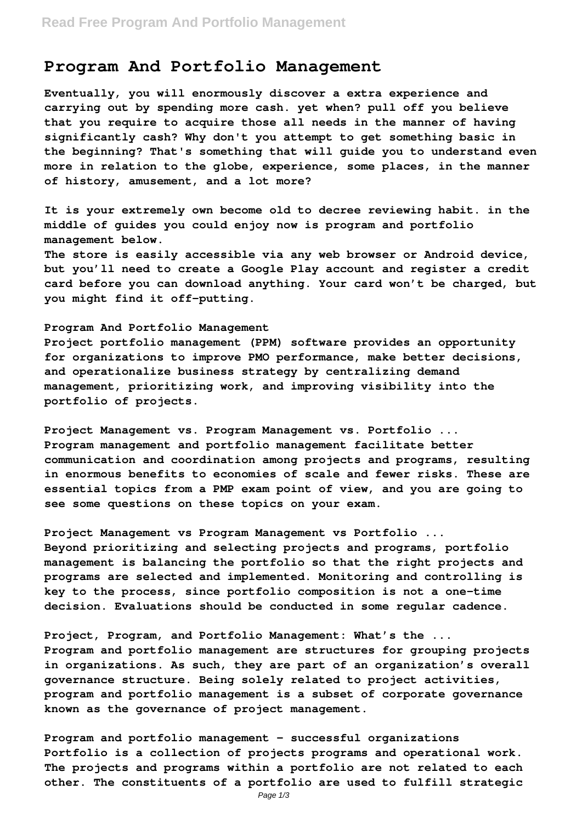## **Program And Portfolio Management**

**Eventually, you will enormously discover a extra experience and carrying out by spending more cash. yet when? pull off you believe that you require to acquire those all needs in the manner of having significantly cash? Why don't you attempt to get something basic in the beginning? That's something that will guide you to understand even more in relation to the globe, experience, some places, in the manner of history, amusement, and a lot more?**

**It is your extremely own become old to decree reviewing habit. in the middle of guides you could enjoy now is program and portfolio management below.**

**The store is easily accessible via any web browser or Android device, but you'll need to create a Google Play account and register a credit card before you can download anything. Your card won't be charged, but you might find it off-putting.**

## **Program And Portfolio Management**

**Project portfolio management (PPM) software provides an opportunity for organizations to improve PMO performance, make better decisions, and operationalize business strategy by centralizing demand management, prioritizing work, and improving visibility into the portfolio of projects.**

**Project Management vs. Program Management vs. Portfolio ... Program management and portfolio management facilitate better communication and coordination among projects and programs, resulting in enormous benefits to economies of scale and fewer risks. These are essential topics from a PMP exam point of view, and you are going to see some questions on these topics on your exam.**

**Project Management vs Program Management vs Portfolio ... Beyond prioritizing and selecting projects and programs, portfolio management is balancing the portfolio so that the right projects and programs are selected and implemented. Monitoring and controlling is key to the process, since portfolio composition is not a one-time decision. Evaluations should be conducted in some regular cadence.**

**Project, Program, and Portfolio Management: What's the ... Program and portfolio management are structures for grouping projects in organizations. As such, they are part of an organization's overall governance structure. Being solely related to project activities, program and portfolio management is a subset of corporate governance known as the governance of project management.**

**Program and portfolio management - successful organizations Portfolio is a collection of projects programs and operational work. The projects and programs within a portfolio are not related to each other. The constituents of a portfolio are used to fulfill strategic**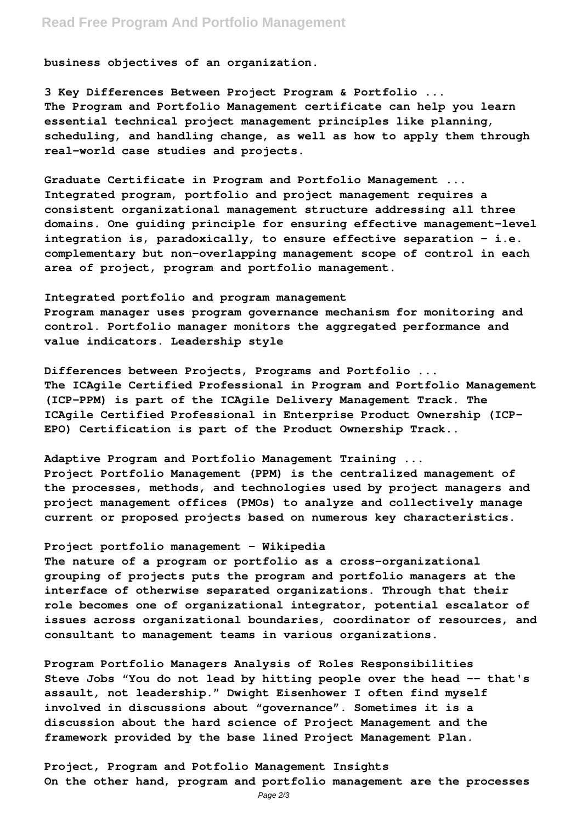## **Read Free Program And Portfolio Management**

**business objectives of an organization.**

**3 Key Differences Between Project Program & Portfolio ... The Program and Portfolio Management certificate can help you learn essential technical project management principles like planning, scheduling, and handling change, as well as how to apply them through real-world case studies and projects.**

**Graduate Certificate in Program and Portfolio Management ... Integrated program, portfolio and project management requires a consistent organizational management structure addressing all three domains. One guiding principle for ensuring effective management-level integration is, paradoxically, to ensure effective separation – i.e. complementary but non-overlapping management scope of control in each area of project, program and portfolio management.**

**Integrated portfolio and program management Program manager uses program governance mechanism for monitoring and control. Portfolio manager monitors the aggregated performance and value indicators. Leadership style**

**Differences between Projects, Programs and Portfolio ... The ICAgile Certified Professional in Program and Portfolio Management (ICP-PPM) is part of the ICAgile Delivery Management Track. The ICAgile Certified Professional in Enterprise Product Ownership (ICP-EPO) Certification is part of the Product Ownership Track..**

**Adaptive Program and Portfolio Management Training ...**

**Project Portfolio Management (PPM) is the centralized management of the processes, methods, and technologies used by project managers and project management offices (PMOs) to analyze and collectively manage current or proposed projects based on numerous key characteristics.**

## **Project portfolio management - Wikipedia**

**The nature of a program or portfolio as a cross-organizational grouping of projects puts the program and portfolio managers at the interface of otherwise separated organizations. Through that their role becomes one of organizational integrator, potential escalator of issues across organizational boundaries, coordinator of resources, and consultant to management teams in various organizations.**

**Program Portfolio Managers Analysis of Roles Responsibilities Steve Jobs "You do not lead by hitting people over the head -- that's assault, not leadership." Dwight Eisenhower I often find myself involved in discussions about "governance". Sometimes it is a discussion about the hard science of Project Management and the framework provided by the base lined Project Management Plan.**

**Project, Program and Potfolio Management Insights On the other hand, program and portfolio management are the processes**